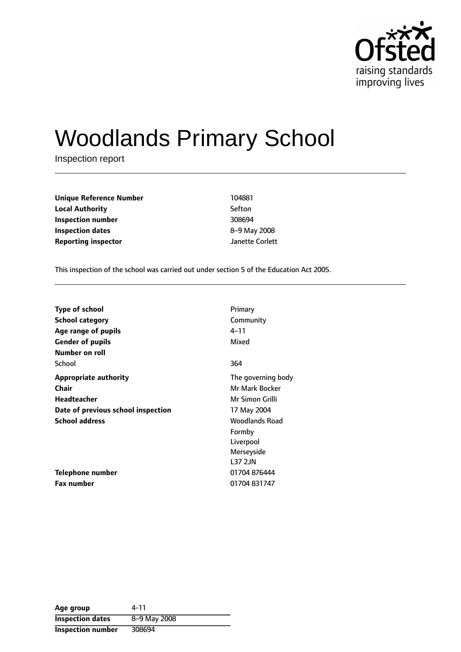

# Woodlands Primary School

Inspection report

| <b>Unique Reference Number</b> | 104881          |
|--------------------------------|-----------------|
| <b>Local Authority</b>         | Sefton          |
| Inspection number              | 308694          |
| <b>Inspection dates</b>        | 8-9 May 2008    |
| <b>Reporting inspector</b>     | Janette Corlett |

This inspection of the school was carried out under section 5 of the Education Act 2005.

| <b>Type of school</b>              | Primary               |
|------------------------------------|-----------------------|
| <b>School category</b>             | Community             |
| Age range of pupils                | $4 - 11$              |
| <b>Gender of pupils</b>            | Mixed                 |
| Number on roll                     |                       |
| School                             | 364                   |
| <b>Appropriate authority</b>       | The governing body    |
| Chair                              | Mr Mark Bocker        |
| Headteacher                        | Mr Simon Grilli       |
| Date of previous school inspection | 17 May 2004           |
| <b>School address</b>              | <b>Woodlands Road</b> |
|                                    | Formby                |
|                                    | Liverpool             |
|                                    | Merseyside            |
|                                    | <b>L37 2JN</b>        |
| Telephone number                   | 01704 876444          |
| <b>Fax number</b>                  | 01704 831747          |

**Age group** 4-11 **Inspection dates** 8-9 May 2008 **Inspection number** 308694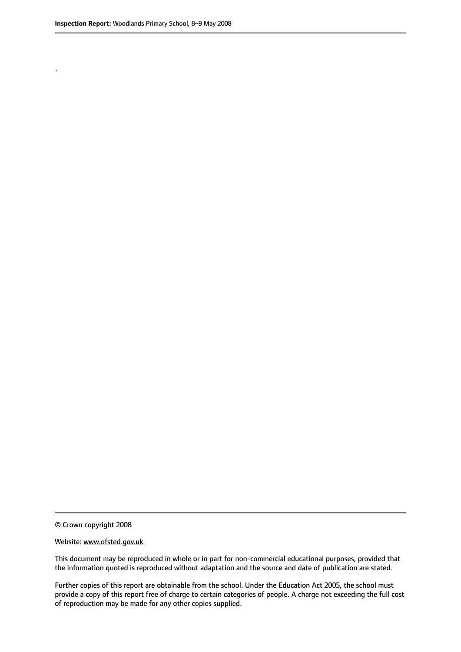.

© Crown copyright 2008

#### Website: www.ofsted.gov.uk

This document may be reproduced in whole or in part for non-commercial educational purposes, provided that the information quoted is reproduced without adaptation and the source and date of publication are stated.

Further copies of this report are obtainable from the school. Under the Education Act 2005, the school must provide a copy of this report free of charge to certain categories of people. A charge not exceeding the full cost of reproduction may be made for any other copies supplied.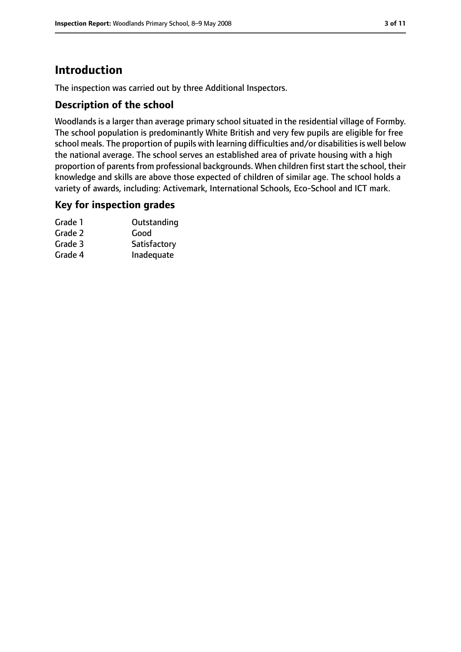# **Introduction**

The inspection was carried out by three Additional Inspectors.

## **Description of the school**

Woodlands is a larger than average primary school situated in the residential village of Formby. The school population is predominantly White British and very few pupils are eligible for free school meals. The proportion of pupils with learning difficulties and/or disabilities is well below the national average. The school serves an established area of private housing with a high proportion of parents from professional backgrounds. When children first start the school, their knowledge and skills are above those expected of children of similar age. The school holds a variety of awards, including: Activemark, International Schools, Eco-School and ICT mark.

## **Key for inspection grades**

| Grade 1 | Outstanding  |
|---------|--------------|
| Grade 2 | Good         |
| Grade 3 | Satisfactory |
| Grade 4 | Inadequate   |
|         |              |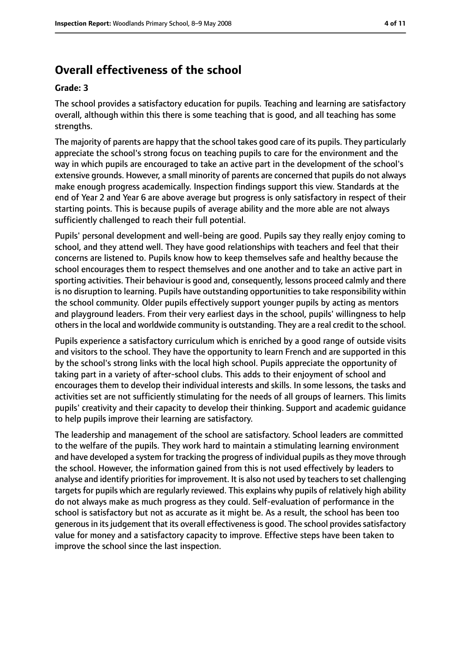# **Overall effectiveness of the school**

#### **Grade: 3**

The school provides a satisfactory education for pupils. Teaching and learning are satisfactory overall, although within this there is some teaching that is good, and all teaching has some strengths.

The majority of parents are happy that the school takes good care of its pupils. They particularly appreciate the school's strong focus on teaching pupils to care for the environment and the way in which pupils are encouraged to take an active part in the development of the school's extensive grounds. However, a small minority of parents are concerned that pupils do not always make enough progress academically. Inspection findings support this view. Standards at the end of Year 2 and Year 6 are above average but progress is only satisfactory in respect of their starting points. This is because pupils of average ability and the more able are not always sufficiently challenged to reach their full potential.

Pupils' personal development and well-being are good. Pupils say they really enjoy coming to school, and they attend well. They have good relationships with teachers and feel that their concerns are listened to. Pupils know how to keep themselves safe and healthy because the school encourages them to respect themselves and one another and to take an active part in sporting activities. Their behaviour is good and, consequently, lessons proceed calmly and there is no disruption to learning. Pupils have outstanding opportunities to take responsibility within the school community. Older pupils effectively support younger pupils by acting as mentors and playground leaders. From their very earliest days in the school, pupils' willingness to help others in the local and worldwide community is outstanding. They are a real credit to the school.

Pupils experience a satisfactory curriculum which is enriched by a good range of outside visits and visitors to the school. They have the opportunity to learn French and are supported in this by the school's strong links with the local high school. Pupils appreciate the opportunity of taking part in a variety of after-school clubs. This adds to their enjoyment of school and encourages them to develop their individual interests and skills. In some lessons, the tasks and activities set are not sufficiently stimulating for the needs of all groups of learners. This limits pupils' creativity and their capacity to develop their thinking. Support and academic guidance to help pupils improve their learning are satisfactory.

The leadership and management of the school are satisfactory. School leaders are committed to the welfare of the pupils. They work hard to maintain a stimulating learning environment and have developed a system for tracking the progress of individual pupils as they move through the school. However, the information gained from this is not used effectively by leaders to analyse and identify priorities for improvement. It is also not used by teachers to set challenging targets for pupils which are regularly reviewed. This explains why pupils of relatively high ability do not always make as much progress as they could. Self-evaluation of performance in the school is satisfactory but not as accurate as it might be. As a result, the school has been too generous in its judgement that its overall effectiveness is good. The school provides satisfactory value for money and a satisfactory capacity to improve. Effective steps have been taken to improve the school since the last inspection.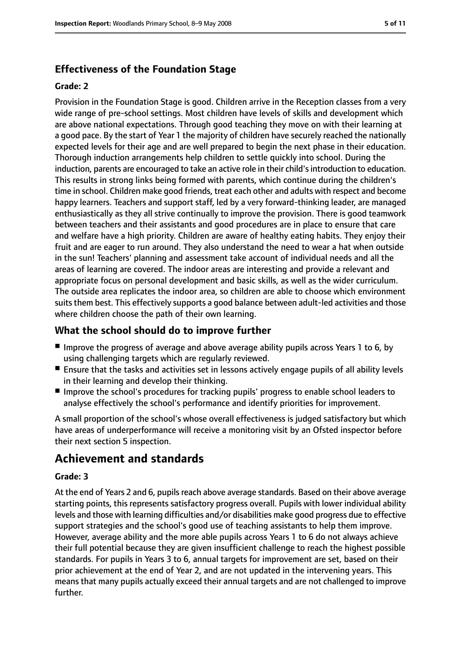# **Effectiveness of the Foundation Stage**

#### **Grade: 2**

Provision in the Foundation Stage is good. Children arrive in the Reception classes from a very wide range of pre-school settings. Most children have levels of skills and development which are above national expectations. Through good teaching they move on with their learning at a good pace. By the start of Year 1 the majority of children have securely reached the nationally expected levels for their age and are well prepared to begin the next phase in their education. Thorough induction arrangements help children to settle quickly into school. During the induction, parents are encouraged to take an active role in their child'sintroduction to education. This results in strong links being formed with parents, which continue during the children's time in school. Children make good friends, treat each other and adults with respect and become happy learners. Teachers and support staff, led by a very forward-thinking leader, are managed enthusiastically as they all strive continually to improve the provision. There is good teamwork between teachers and their assistants and good procedures are in place to ensure that care and welfare have a high priority. Children are aware of healthy eating habits. They enjoy their fruit and are eager to run around. They also understand the need to wear a hat when outside in the sun! Teachers' planning and assessment take account of individual needs and all the areas of learning are covered. The indoor areas are interesting and provide a relevant and appropriate focus on personal development and basic skills, as well as the wider curriculum. The outside area replicates the indoor area, so children are able to choose which environment suits them best. This effectively supports a good balance between adult-led activities and those where children choose the path of their own learning.

# **What the school should do to improve further**

- Improve the progress of average and above average ability pupils across Years 1 to 6, by using challenging targets which are regularly reviewed.
- Ensure that the tasks and activities set in lessons actively engage pupils of all ability levels in their learning and develop their thinking.
- Improve the school's procedures for tracking pupils' progress to enable school leaders to analyse effectively the school's performance and identify priorities for improvement.

A small proportion of the school's whose overall effectiveness is judged satisfactory but which have areas of underperformance will receive a monitoring visit by an Ofsted inspector before their next section 5 inspection.

# **Achievement and standards**

## **Grade: 3**

At the end of Years 2 and 6, pupils reach above average standards. Based on their above average starting points, this represents satisfactory progress overall. Pupils with lower individual ability levels and those with learning difficulties and/or disabilities make good progress due to effective support strategies and the school's good use of teaching assistants to help them improve. However, average ability and the more able pupils across Years 1 to 6 do not always achieve their full potential because they are given insufficient challenge to reach the highest possible standards. For pupils in Years 3 to 6, annual targets for improvement are set, based on their prior achievement at the end of Year 2, and are not updated in the intervening years. This means that many pupils actually exceed their annual targets and are not challenged to improve further.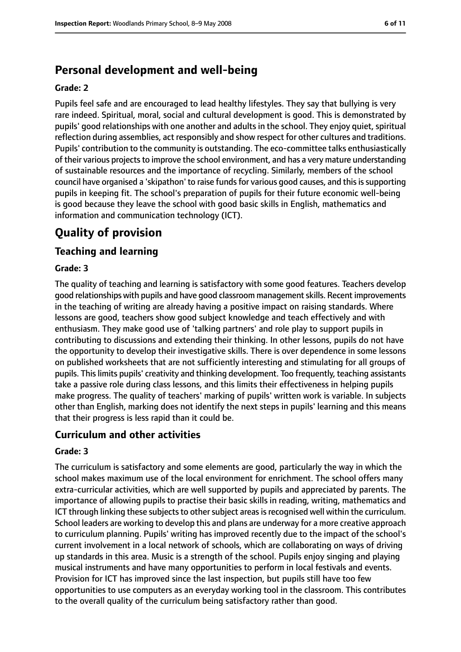# **Personal development and well-being**

#### **Grade: 2**

Pupils feel safe and are encouraged to lead healthy lifestyles. They say that bullying is very rare indeed. Spiritual, moral, social and cultural development is good. This is demonstrated by pupils' good relationships with one another and adults in the school. They enjoy quiet, spiritual reflection during assemblies, act responsibly and show respect for other cultures and traditions. Pupils' contribution to the community is outstanding. The eco-committee talks enthusiastically of their various projects to improve the school environment, and has a very mature understanding of sustainable resources and the importance of recycling. Similarly, members of the school council have organised a 'skipathon' to raise funds for various good causes, and this is supporting pupils in keeping fit. The school's preparation of pupils for their future economic well-being is good because they leave the school with good basic skills in English, mathematics and information and communication technology (ICT).

# **Quality of provision**

# **Teaching and learning**

#### **Grade: 3**

The quality of teaching and learning is satisfactory with some good features. Teachers develop good relationships with pupils and have good classroom management skills. Recent improvements in the teaching of writing are already having a positive impact on raising standards. Where lessons are good, teachers show good subject knowledge and teach effectively and with enthusiasm. They make good use of 'talking partners' and role play to support pupils in contributing to discussions and extending their thinking. In other lessons, pupils do not have the opportunity to develop their investigative skills. There is over dependence in some lessons on published worksheets that are not sufficiently interesting and stimulating for all groups of pupils. Thislimits pupils' creativity and thinking development. Too frequently, teaching assistants take a passive role during class lessons, and this limits their effectiveness in helping pupils make progress. The quality of teachers' marking of pupils' written work is variable. In subjects other than English, marking does not identify the next steps in pupils' learning and this means that their progress is less rapid than it could be.

## **Curriculum and other activities**

#### **Grade: 3**

The curriculum is satisfactory and some elements are good, particularly the way in which the school makes maximum use of the local environment for enrichment. The school offers many extra-curricular activities, which are well supported by pupils and appreciated by parents. The importance of allowing pupils to practise their basic skills in reading, writing, mathematics and ICT through linking these subjects to other subject areas is recognised well within the curriculum. School leaders are working to develop this and plans are underway for a more creative approach to curriculum planning. Pupils' writing has improved recently due to the impact of the school's current involvement in a local network of schools, which are collaborating on ways of driving up standards in this area. Music is a strength of the school. Pupils enjoy singing and playing musical instruments and have many opportunities to perform in local festivals and events. Provision for ICT has improved since the last inspection, but pupils still have too few opportunities to use computers as an everyday working tool in the classroom. This contributes to the overall quality of the curriculum being satisfactory rather than good.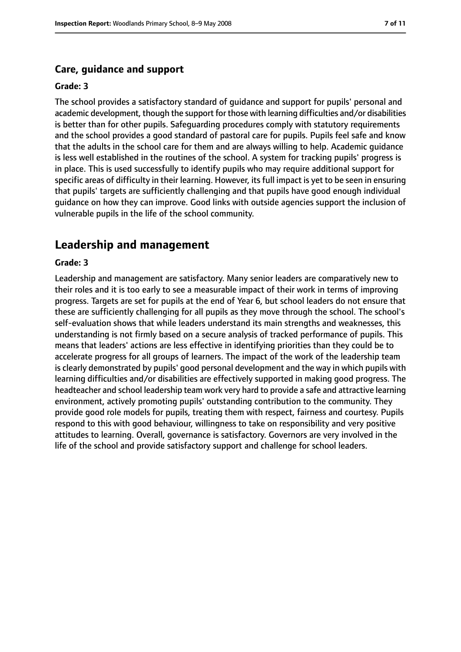#### **Care, guidance and support**

#### **Grade: 3**

The school provides a satisfactory standard of guidance and support for pupils' personal and academic development, though the support for those with learning difficulties and/or disabilities is better than for other pupils. Safeguarding procedures comply with statutory requirements and the school provides a good standard of pastoral care for pupils. Pupils feel safe and know that the adults in the school care for them and are always willing to help. Academic guidance is less well established in the routines of the school. A system for tracking pupils' progress is in place. This is used successfully to identify pupils who may require additional support for specific areas of difficulty in their learning. However, its full impact is yet to be seen in ensuring that pupils' targets are sufficiently challenging and that pupils have good enough individual guidance on how they can improve. Good links with outside agencies support the inclusion of vulnerable pupils in the life of the school community.

## **Leadership and management**

#### **Grade: 3**

Leadership and management are satisfactory. Many senior leaders are comparatively new to their roles and it is too early to see a measurable impact of their work in terms of improving progress. Targets are set for pupils at the end of Year 6, but school leaders do not ensure that these are sufficiently challenging for all pupils as they move through the school. The school's self-evaluation shows that while leaders understand its main strengths and weaknesses, this understanding is not firmly based on a secure analysis of tracked performance of pupils. This means that leaders' actions are less effective in identifying priorities than they could be to accelerate progress for all groups of learners. The impact of the work of the leadership team is clearly demonstrated by pupils' good personal development and the way in which pupils with learning difficulties and/or disabilities are effectively supported in making good progress. The headteacher and school leadership team work very hard to provide a safe and attractive learning environment, actively promoting pupils' outstanding contribution to the community. They provide good role models for pupils, treating them with respect, fairness and courtesy. Pupils respond to this with good behaviour, willingness to take on responsibility and very positive attitudes to learning. Overall, governance is satisfactory. Governors are very involved in the life of the school and provide satisfactory support and challenge for school leaders.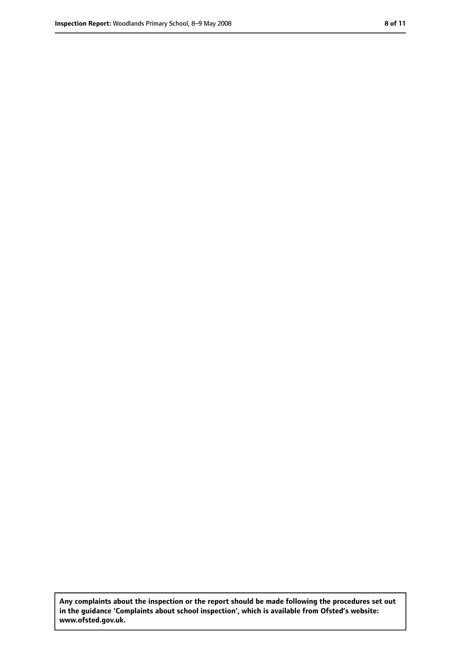**Any complaints about the inspection or the report should be made following the procedures set out in the guidance 'Complaints about school inspection', which is available from Ofsted's website: www.ofsted.gov.uk.**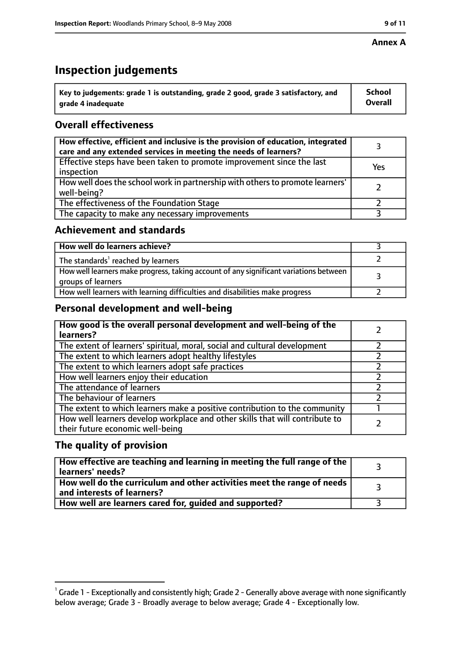#### **Annex A**

# **Inspection judgements**

| $\degree$ Key to judgements: grade 1 is outstanding, grade 2 good, grade 3 satisfactory, and | School         |
|----------------------------------------------------------------------------------------------|----------------|
| arade 4 inadequate                                                                           | <b>Overall</b> |

# **Overall effectiveness**

| How effective, efficient and inclusive is the provision of education, integrated<br>care and any extended services in meeting the needs of learners? |     |
|------------------------------------------------------------------------------------------------------------------------------------------------------|-----|
| Effective steps have been taken to promote improvement since the last<br>inspection                                                                  | Yes |
| How well does the school work in partnership with others to promote learners'<br>well-being?                                                         |     |
| The effectiveness of the Foundation Stage                                                                                                            |     |
| The capacity to make any necessary improvements                                                                                                      |     |

## **Achievement and standards**

| How well do learners achieve?                                                                               |  |
|-------------------------------------------------------------------------------------------------------------|--|
| The standards <sup>1</sup> reached by learners                                                              |  |
| How well learners make progress, taking account of any significant variations between<br>groups of learners |  |
| How well learners with learning difficulties and disabilities make progress                                 |  |

# **Personal development and well-being**

| How good is the overall personal development and well-being of the<br>learners?                                  |  |
|------------------------------------------------------------------------------------------------------------------|--|
| The extent of learners' spiritual, moral, social and cultural development                                        |  |
| The extent to which learners adopt healthy lifestyles                                                            |  |
| The extent to which learners adopt safe practices                                                                |  |
| How well learners enjoy their education                                                                          |  |
| The attendance of learners                                                                                       |  |
| The behaviour of learners                                                                                        |  |
| The extent to which learners make a positive contribution to the community                                       |  |
| How well learners develop workplace and other skills that will contribute to<br>their future economic well-being |  |

# **The quality of provision**

| How effective are teaching and learning in meeting the full range of the<br>learners' needs?          |  |
|-------------------------------------------------------------------------------------------------------|--|
| How well do the curriculum and other activities meet the range of needs<br>and interests of learners? |  |
| How well are learners cared for, quided and supported?                                                |  |

 $^1$  Grade 1 - Exceptionally and consistently high; Grade 2 - Generally above average with none significantly below average; Grade 3 - Broadly average to below average; Grade 4 - Exceptionally low.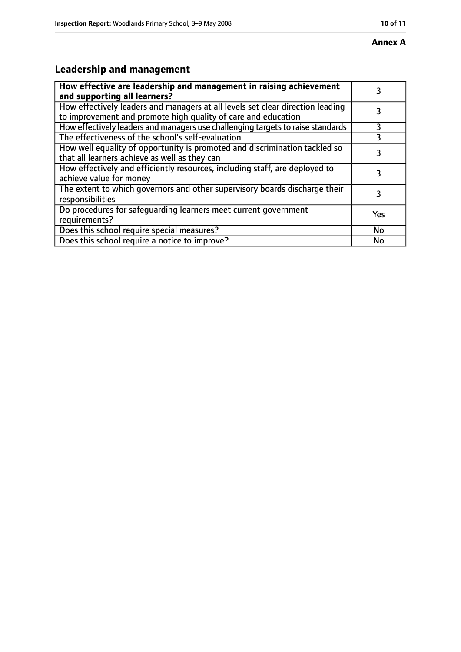# **Leadership and management**

| How effective are leadership and management in raising achievement<br>and supporting all learners?                                              |     |
|-------------------------------------------------------------------------------------------------------------------------------------------------|-----|
| How effectively leaders and managers at all levels set clear direction leading<br>to improvement and promote high quality of care and education |     |
| How effectively leaders and managers use challenging targets to raise standards                                                                 | 3   |
| The effectiveness of the school's self-evaluation                                                                                               | 3   |
| How well equality of opportunity is promoted and discrimination tackled so<br>that all learners achieve as well as they can                     | 3   |
| How effectively and efficiently resources, including staff, are deployed to<br>achieve value for money                                          | 3   |
| The extent to which governors and other supervisory boards discharge their<br>responsibilities                                                  | 3   |
| Do procedures for safequarding learners meet current government<br>requirements?                                                                | Yes |
| Does this school require special measures?                                                                                                      | No  |
| Does this school require a notice to improve?                                                                                                   | No  |